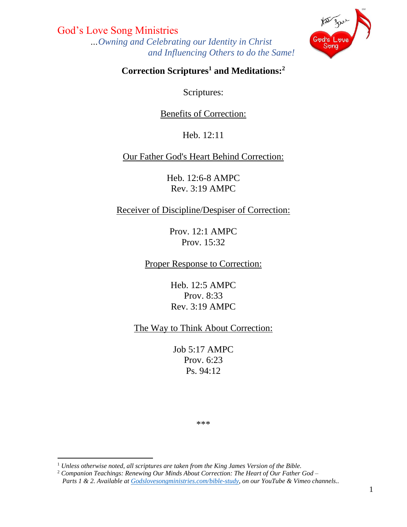God's Love Song Ministries  *…Owning and Celebrating our Identity in Christ and Influencing Others to do the Same!*



### **Correction Scriptures 1 and Meditations:<sup>2</sup>**

Scriptures:

#### Benefits of Correction:

Heb. 12:11

### Our Father God's Heart Behind Correction:

Heb. 12:6-8 AMPC Rev. 3:19 AMPC

#### Receiver of Discipline/Despiser of Correction:

Prov. 12:1 AMPC Prov. 15:32

Proper Response to Correction:

Heb. 12:5 AMPC Prov. 8:33 Rev. 3:19 AMPC

The Way to Think About Correction:

Job 5:17 AMPC Prov. 6:23 Ps. 94:12

\*\*\*

<sup>1</sup> *Unless otherwise noted, all scriptures are taken from the King James Version of the Bible.*

<sup>2</sup> *Companion Teachings: Renewing Our Minds About Correction: The Heart of Our Father God – Parts 1 & 2. Available at [Godslovesongministries.com/bible-study,](file:///C:/Users/Godsl/Desktop/GLSM/God) on our YouTube & Vimeo channels..*